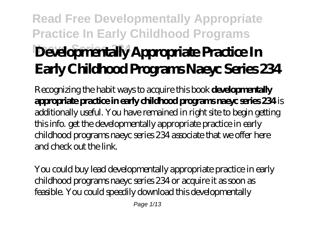# **Read Free Developmentally Appropriate Practice In Early Childhood Programs** Developmentally Appropriate Practice In **Early Childhood Programs Naeyc Series 234**

Recognizing the habit ways to acquire this book **developmentally appropriate practice in early childhood programs naeyc series 234** is additionally useful. You have remained in right site to begin getting this info. get the developmentally appropriate practice in early childhood programs naeyc series 234 associate that we offer here and check out the link.

You could buy lead developmentally appropriate practice in early childhood programs naeyc series 234 or acquire it as soon as feasible. You could speedily download this developmentally

Page 1/13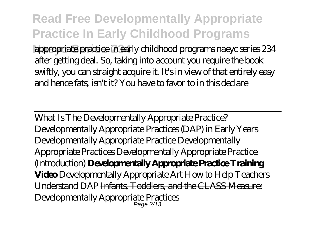**Read Free Developmentally Appropriate Practice In Early Childhood Programs Naeyc Series 234** appropriate practice in early childhood programs naeyc series 234 after getting deal. So, taking into account you require the book swiftly, you can straight acquire it. It's in view of that entirely easy and hence fats, isn't it? You have to favor to in this declare

What Is The Developmentally Appropriate Practice? *Developmentally Appropriate Practices (DAP) in Early Years* Developmentally Appropriate Practice *Developmentally Appropriate Practices Developmentally Appropriate Practice (Introduction)* **Developmentally Appropriate Practice Training Video** *Developmentally Appropriate Art How to Help Teachers Understand DAP* Infants, Toddlers, and the CLASS Measure: Developmentally Appropriate Practices Page 2/13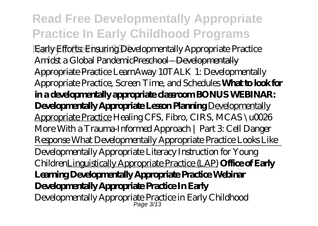### **Read Free Developmentally Appropriate Practice In Early Childhood Programs Early Efforts: Ensuring Developmentally Appropriate Practice** Amidst a Global PandemicPreschool - Developmentally Appropriate Practice *LearnAway 10TALK 1: Developmentally Appropriate Practice, Screen Time, and Schedules* **What to look for in a developmentally appropriate classroom BONUS WEBINAR: Developmentally Appropriate Lesson Planning Developmentally** Appropriate Practice *Healing CFS, Fibro, CIRS, MCAS \u0026 More With a Trauma-Informed Approach | Part 3: Cell Danger Response What Developmentally Appropriate Practice Looks Like* Developmentally Appropriate Literacy Instruction for Young ChildrenLinguistically Appropriate Practice (LAP) **Office of Early Learning Developmentally Appropriate Practice Webinar Developmentally Appropriate Practice In Early** Developmentally Appropriate Practice in Early Childhood Page 3/13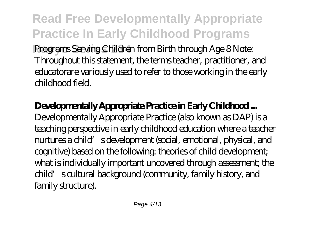**Read Free Developmentally Appropriate Practice In Early Childhood Programs** Programs Serving Children from Birth through Age 8 Note: Throughout this statement, the terms teacher, practitioner, and educatorare variously used to refer to those working in the early childhood field.

### **Developmentally Appropriate Practice in Early Childhood ...**

Developmentally Appropriate Practice (also known as DAP) is a teaching perspective in early childhood education where a teacher nurtures a child's development (social, emotional, physical, and cognitive) based on the following: theories of child development; what is individually important uncovered through assessment; the child's cultural background (community, family history, and family structure).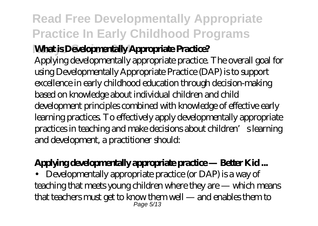### **Read Free Developmentally Appropriate Practice In Early Childhood Programs**

### **What is Developmentally Appropriate Practice?**

Applying developmentally appropriate practice. The overall goal for using Developmentally Appropriate Practice (DAP) is to support excellence in early childhood education through decision-making based on knowledge about individual children and child development principles combined with knowledge of effective early learning practices. To effectively apply developmentally appropriate practices in teaching and make decisions about children's learning and development, a practitioner should:

### **Applying developmentally appropriate practice — Better Kid ...**

• Developmentally appropriate practice (or DAP) is a way of teaching that meets young children where they are — which means that teachers must get to know them well — and enables them to Page 5/13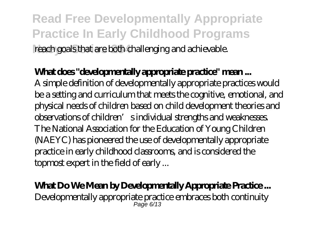**Read Free Developmentally Appropriate Practice In Early Childhood Programs Naeyc Series 234** reach goals that are both challenging and achievable.

### **What does "developmentally appropriate practice" mean ...**

A simple definition of developmentally appropriate practices would be a setting and curriculum that meets the cognitive, emotional, and physical needs of children based on child development theories and observations of children's individual strengths and weaknesses. The National Association for the Education of Young Children (NAEYC) has pioneered the use of developmentally appropriate practice in early childhood classrooms, and is considered the topmost expert in the field of early ...

#### **What Do We Mean by Developmentally Appropriate Practice ...**

Developmentally appropriate practice embraces both continuity Page 6/13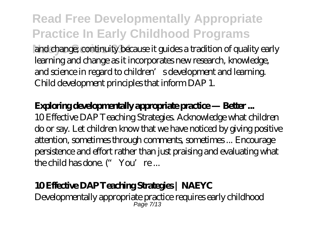**Read Free Developmentally Appropriate Practice In Early Childhood Programs** and change; continuity because it guides a tradition of quality early learning and change as it incorporates new research, knowledge, and science in regard to children' sdevelopment and learning.

Child development principles that inform DAP 1.

#### **Exploring developmentally appropriate practice — Better ...**

10 Effective DAP Teaching Strategies. Acknowledge what children do or say. Let children know that we have noticed by giving positive attention, sometimes through comments, sometimes ... Encourage persistence and effort rather than just praising and evaluating what the child has done. "You're...

#### **10 Effective DAP Teaching Strategies | NAEYC**

Developmentally appropriate practice requires early childhood Page 7/13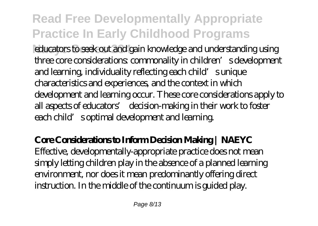# **Read Free Developmentally Appropriate Practice In Early Childhood Programs**

educators to seek out and gain knowledge and understanding using three core considerations: commonality in children's development and learning, individuality reflecting each child's unique characteristics and experiences, and the context in which development and learning occur. These core considerations apply to all aspects of educators' decision-making in their work to foster each child's optimal development and learning.

#### **Core Considerations to Inform Decision Making | NAEYC** Effective, developmentally-appropriate practice does not mean simply letting children play in the absence of a planned learning environment, nor does it mean predominantly offering direct instruction. In the middle of the continuum is guided play.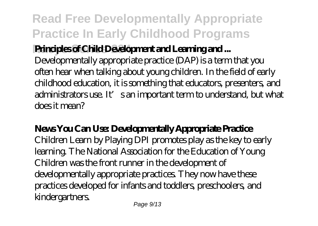# **Read Free Developmentally Appropriate Practice In Early Childhood Programs**

### **Principles of Child Development and Learning and ...**

Developmentally appropriate practice (DAP) is a term that you often hear when talking about young children. In the field of early childhood education, it is something that educators, presenters, and administrators use. It's an important term to understand, but what does it mean?

### **News You Can Use: Developmentally Appropriate Practice**

Children Learn by Playing DPI promotes play as the key to early learning. The National Association for the Education of Young Children was the front runner in the development of developmentally appropriate practices. They now have these practices developed for infants and toddlers, preschoolers, and kindergartners.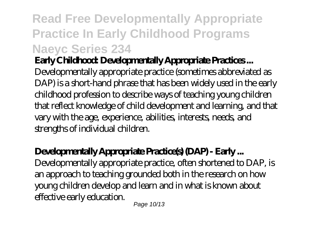# **Read Free Developmentally Appropriate Practice In Early Childhood Programs Naeyc Series 234**

### **Early Childhood: Developmentally Appropriate Practices ...**

Developmentally appropriate practice (sometimes abbreviated as DAP) is a short-hand phrase that has been widely used in the early childhood profession to describe ways of teaching young children that reflect knowledge of child development and learning, and that vary with the age, experience, abilities, interests, needs, and strengths of individual children.

### **Developmentally Appropriate Practice(s) (DAP) - Early ...**

Developmentally appropriate practice, often shortened to DAP, is an approach to teaching grounded both in the research on how young children develop and learn and in what is known about effective early education.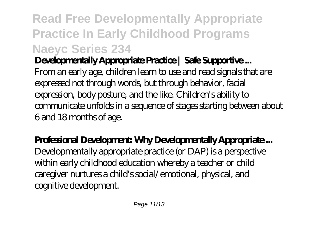# **Read Free Developmentally Appropriate Practice In Early Childhood Programs Naeyc Series 234**

### **Developmentally Appropriate Practice | Safe Supportive ...**

From an early age, children learn to use and read signals that are expressed not through words, but through behavior, facial expression, body posture, and the like. Children's ability to communicate unfolds in a sequence of stages starting between about 6 and 18 months of age.

### **Professional Development: Why Developmentally Appropriate ...**

Developmentally appropriate practice (or DAP) is a perspective within early childhood education whereby a teacher or child caregiver nurtures a child's social/emotional, physical, and cognitive development.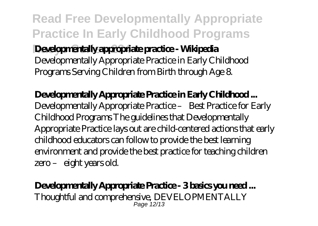**Read Free Developmentally Appropriate Practice In Early Childhood Programs Developmentally appropriate practice - Wikipedia** Developmentally Appropriate Practice in Early Childhood Programs Serving Children from Birth through Age 8.

### **Developmentally Appropriate Practice in Early Childhood ...** Developmentally Appropriate Practice – Best Practice for Early Childhood Programs The guidelines that Developmentally Appropriate Practice lays out are child-centered actions that early childhood educators can follow to provide the best learning environment and provide the best practice for teaching children zero – eight years old.

Developmentally Appropriate Practice - 3 basics you need... Thoughtful and comprehensive, DEVELOPMENTALLY Page 12/13